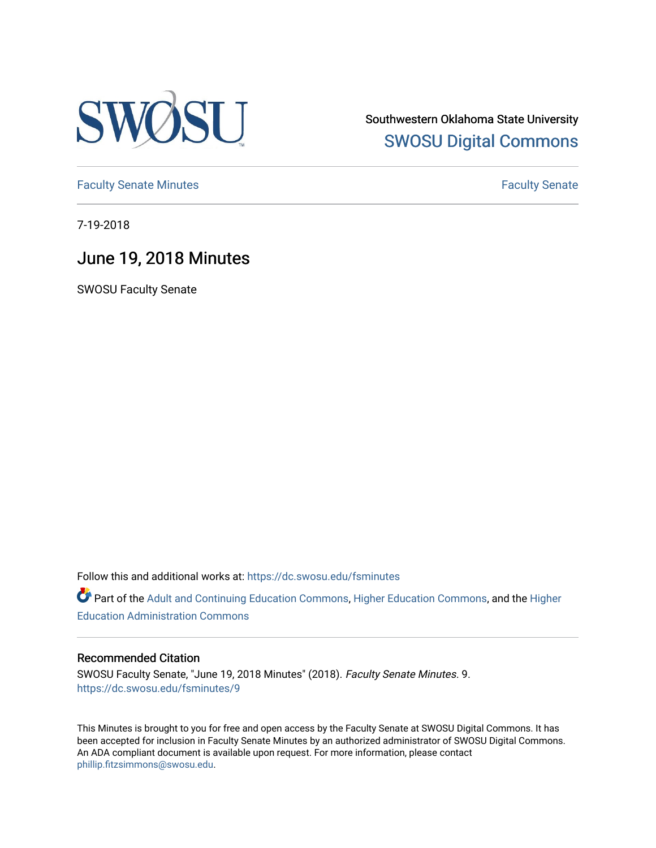

Southwestern Oklahoma State University [SWOSU Digital Commons](https://dc.swosu.edu/) 

[Faculty Senate Minutes](https://dc.swosu.edu/fsminutes) **Faculty** Senate Minutes

7-19-2018

# June 19, 2018 Minutes

SWOSU Faculty Senate

Follow this and additional works at: [https://dc.swosu.edu/fsminutes](https://dc.swosu.edu/fsminutes?utm_source=dc.swosu.edu%2Ffsminutes%2F9&utm_medium=PDF&utm_campaign=PDFCoverPages) 

Part of the [Adult and Continuing Education Commons,](http://network.bepress.com/hgg/discipline/1375?utm_source=dc.swosu.edu%2Ffsminutes%2F9&utm_medium=PDF&utm_campaign=PDFCoverPages) [Higher Education Commons,](http://network.bepress.com/hgg/discipline/1245?utm_source=dc.swosu.edu%2Ffsminutes%2F9&utm_medium=PDF&utm_campaign=PDFCoverPages) and the [Higher](http://network.bepress.com/hgg/discipline/791?utm_source=dc.swosu.edu%2Ffsminutes%2F9&utm_medium=PDF&utm_campaign=PDFCoverPages) [Education Administration Commons](http://network.bepress.com/hgg/discipline/791?utm_source=dc.swosu.edu%2Ffsminutes%2F9&utm_medium=PDF&utm_campaign=PDFCoverPages) 

#### Recommended Citation

SWOSU Faculty Senate, "June 19, 2018 Minutes" (2018). Faculty Senate Minutes. 9. [https://dc.swosu.edu/fsminutes/9](https://dc.swosu.edu/fsminutes/9?utm_source=dc.swosu.edu%2Ffsminutes%2F9&utm_medium=PDF&utm_campaign=PDFCoverPages)

This Minutes is brought to you for free and open access by the Faculty Senate at SWOSU Digital Commons. It has been accepted for inclusion in Faculty Senate Minutes by an authorized administrator of SWOSU Digital Commons. An ADA compliant document is available upon request. For more information, please contact [phillip.fitzsimmons@swosu.edu](mailto:phillip.fitzsimmons@swosu.edu).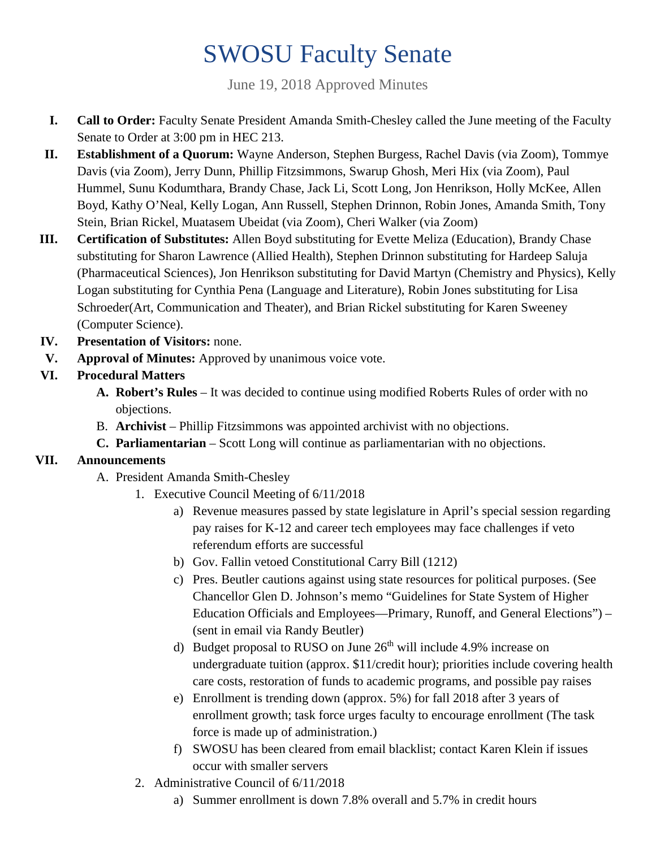# SWOSU Faculty Senate

June 19, 2018 Approved Minutes

- **I. Call to Order:** Faculty Senate President Amanda Smith-Chesley called the June meeting of the Faculty Senate to Order at 3:00 pm in HEC 213.
- **II. Establishment of a Quorum:** Wayne Anderson, Stephen Burgess, Rachel Davis (via Zoom), Tommye Davis (via Zoom), Jerry Dunn, Phillip Fitzsimmons, Swarup Ghosh, Meri Hix (via Zoom), Paul Hummel, Sunu Kodumthara, Brandy Chase, Jack Li, Scott Long, Jon Henrikson, Holly McKee, Allen Boyd, Kathy O'Neal, Kelly Logan, Ann Russell, Stephen Drinnon, Robin Jones, Amanda Smith, Tony Stein, Brian Rickel, Muatasem Ubeidat (via Zoom), Cheri Walker (via Zoom)
- **III. Certification of Substitutes:** Allen Boyd substituting for Evette Meliza (Education), Brandy Chase substituting for Sharon Lawrence (Allied Health), Stephen Drinnon substituting for Hardeep Saluja (Pharmaceutical Sciences), Jon Henrikson substituting for David Martyn (Chemistry and Physics), Kelly Logan substituting for Cynthia Pena (Language and Literature), Robin Jones substituting for Lisa Schroeder(Art, Communication and Theater), and Brian Rickel substituting for Karen Sweeney (Computer Science).
- **IV. Presentation of Visitors:** none.
- **V. Approval of Minutes:** Approved by unanimous voice vote.

### **VI. Procedural Matters**

- **A. Robert's Rules** It was decided to continue using modified Roberts Rules of order with no objections.
- B. **Archivist** Phillip Fitzsimmons was appointed archivist with no objections.
- **C. Parliamentarian** Scott Long will continue as parliamentarian with no objections.

### **VII. Announcements**

- A. President Amanda Smith-Chesley
	- 1. Executive Council Meeting of 6/11/2018
		- a) Revenue measures passed by state legislature in April's special session regarding pay raises for K-12 and career tech employees may face challenges if veto referendum efforts are successful
		- b) Gov. Fallin vetoed Constitutional Carry Bill (1212)
		- c) Pres. Beutler cautions against using state resources for political purposes. (See Chancellor Glen D. Johnson's memo "Guidelines for State System of Higher Education Officials and Employees—Primary, Runoff, and General Elections") – (sent in email via Randy Beutler)
		- d) Budget proposal to RUSO on June  $26<sup>th</sup>$  will include 4.9% increase on undergraduate tuition (approx. \$11/credit hour); priorities include covering health care costs, restoration of funds to academic programs, and possible pay raises
		- e) Enrollment is trending down (approx. 5%) for fall 2018 after 3 years of enrollment growth; task force urges faculty to encourage enrollment (The task force is made up of administration.)
		- f) SWOSU has been cleared from email blacklist; contact Karen Klein if issues occur with smaller servers
	- 2. Administrative Council of 6/11/2018
		- a) Summer enrollment is down 7.8% overall and 5.7% in credit hours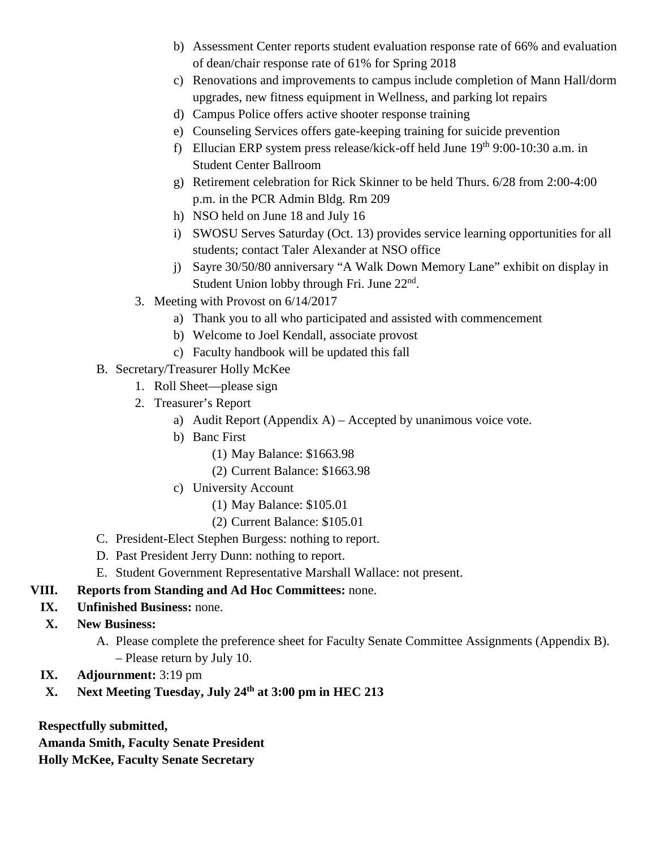- b) Assessment Center reports student evaluation response rate of 66% and evaluation of dean/chair response rate of 61% for Spring 2018
- c) Renovations and improvements to campus include completion of Mann Hall/dorm upgrades, new fitness equipment in Wellness, and parking lot repairs
- d) Campus Police offers active shooter response training
- e) Counseling Services offers gate-keeping training for suicide prevention
- f) Ellucian ERP system press release/kick-off held June  $19<sup>th</sup>$  9:00-10:30 a.m. in Student Center Ballroom
- g) Retirement celebration for Rick Skinner to be held Thurs. 6/28 from 2:00-4:00 p.m. in the PCR Admin Bldg. Rm 209
- h) NSO held on June 18 and July 16
- i) SWOSU Serves Saturday (Oct. 13) provides service learning opportunities for all students; contact Taler Alexander at NSO office
- j) Sayre 30/50/80 anniversary "A Walk Down Memory Lane" exhibit on display in Student Union lobby through Fri. June 22nd.
- 3. Meeting with Provost on 6/14/2017
	- a) Thank you to all who participated and assisted with commencement
	- b) Welcome to Joel Kendall, associate provost
	- c) Faculty handbook will be updated this fall
- B. Secretary/Treasurer Holly McKee
	- 1. Roll Sheet—please sign
	- 2. Treasurer's Report
		- a) Audit Report (Appendix A) Accepted by unanimous voice vote.
		- b) Banc First
			- (1) May Balance: \$1663.98
			- (2) Current Balance: \$1663.98
		- c) University Account
			- (1) May Balance: \$105.01
			- (2) Current Balance: \$105.01
- C. President-Elect Stephen Burgess: nothing to report.
- D. Past President Jerry Dunn: nothing to report.
- E. Student Government Representative Marshall Wallace: not present.

#### **VIII. Reports from Standing and Ad Hoc Committees:** none.

- **IX. Unfinished Business:** none.
- **X. New Business:** 
	- A. Please complete the preference sheet for Faculty Senate Committee Assignments (Appendix B). – Please return by July 10.
- **IX. Adjournment:** 3:19 pm
- **X. Next Meeting Tuesday, July 24th at 3:00 pm in HEC 213**

**Respectfully submitted,** 

**Amanda Smith, Faculty Senate President**

**Holly McKee, Faculty Senate Secretary**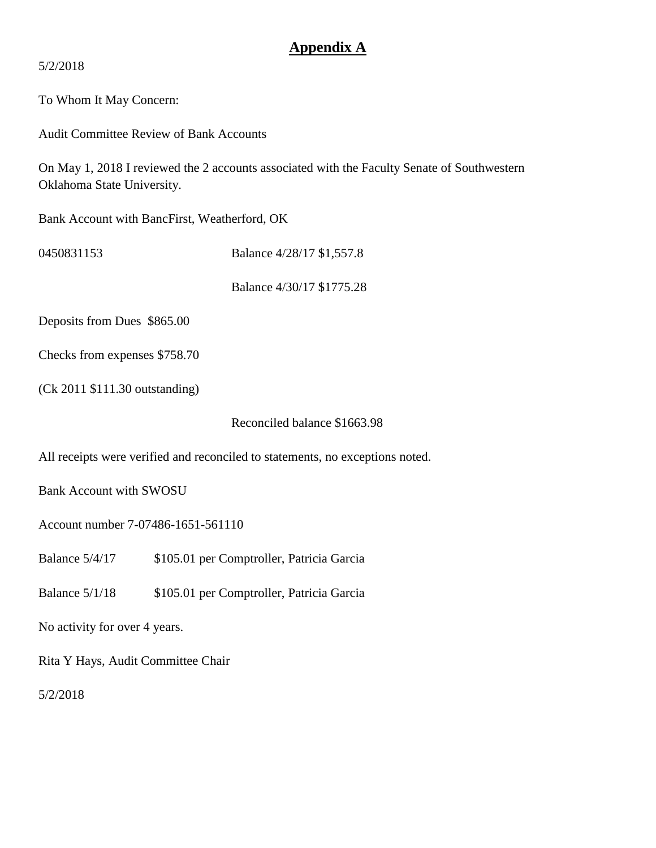### **Appendix A**

5/2/2018

To Whom It May Concern:

Audit Committee Review of Bank Accounts

On May 1, 2018 I reviewed the 2 accounts associated with the Faculty Senate of Southwestern Oklahoma State University.

Bank Account with BancFirst, Weatherford, OK

0450831153 **Balance 4/28/17 \$1,557.8** 

Balance 4/30/17 \$1775.28

Deposits from Dues \$865.00

Checks from expenses \$758.70

(Ck 2011 \$111.30 outstanding)

Reconciled balance \$1663.98

All receipts were verified and reconciled to statements, no exceptions noted.

Bank Account with SWOSU

Account number 7-07486-1651-561110

Balance 5/4/17 \$105.01 per Comptroller, Patricia Garcia

Balance 5/1/18 \$105.01 per Comptroller, Patricia Garcia

No activity for over 4 years.

Rita Y Hays, Audit Committee Chair

5/2/2018